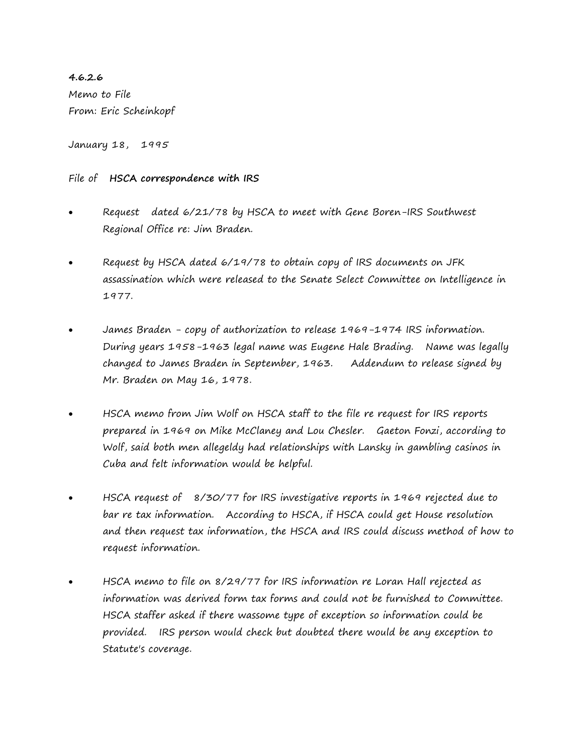**4.6.2.6** Memo to File From: Eric Scheinkopf

January 18, 1995

## File of **HSCA correspondence with IRS**

- Request dated 6/21/78 by HSCA to meet with Gene Boren-IRS Southwest Regional Office re: Jim Braden.
- Request by HSCA dated 6/19/78 to obtain copy of IRS documents on JFK assassination which were released to the Senate Select Committee on Intelligence in 1977.
- James Braden copy of authorization to release 1969-1974 IRS information. During years 1958-1963 legal name was Eugene Hale Brading. Name was legally changed to James Braden in September, 1963. Addendum to release signed by Mr. Braden on May 16, 1978.
- HSCA memo from Jim Wolf on HSCA staff to the file re request for IRS reports prepared in 1969 on Mike McClaney and Lou Chesler. Gaeton Fonzi, according to Wolf, said both men allegeldy had relationships with Lansky in gambling casinos in Cuba and felt information would be helpful.
- HSCA request of 8/30/77 for IRS investigative reports in 1969 rejected due to bar re tax information. According to HSCA, if HSCA could get House resolution and then request tax information, the HSCA and IRS could discuss method of how to request information.
- HSCA memo to file on 8/29/77 for IRS information re Loran Hall rejected as information was derived form tax forms and could not be furnished to Committee. HSCA staffer asked if there wassome type of exception so information could be provided. IRS person would check but doubted there would be any exception to Statute's coverage.